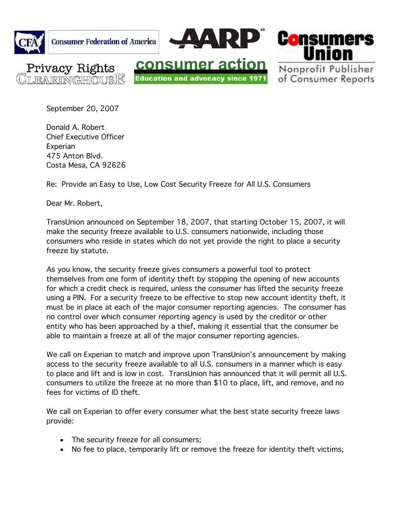

September 20, 2007

Donald A. Robert Chief Executive Officer **Experian** 475 Anton Blvd. Costa Mesa, CA 92626

Re: Provide an Easy to Use, Low Cost Security Freeze for All U.S. Consumers

Dear Mr. Robert,

TransUnion announced on September 18, 2007, that starting October 15, 2007, it will make the security freeze available to U.S. consumers nationwide, including those consumers who reside in states which do not yet provide the right to place a security freeze by statute.

As you know, the security freeze gives consumers a powerful tool to protect themselves from one form of identity theft by stopping the opening of new accounts for which a credit check is required, unless the consumer has lifted the security freeze using a PIN. For a security freeze to be effective to stop new account identity theft, it must be in place at each of the major consumer reporting agencies. The consumer has no control over which consumer reporting agency is used by the creditor or other entity who has been approached by a thief, making it essential that the consumer be able to maintain a freeze at all of the major consumer reporting agencies.

We call on Experian to match and improve upon TransUnion's announcement by making access to the security freeze available to all U.S. consumers in a manner which is easy to place and lift and is low in cost. TransUnion has announced that it will permit all U.S. consumers to utilize the freeze at no more than \$10 to place, lift, and remove, and no fees for victims of ID theft.

We call on Experian to offer every consumer what the best state security freeze laws provide:

- The security freeze for all consumers;
- No fee to place, temporarily lift or remove the freeze for identity theft victims;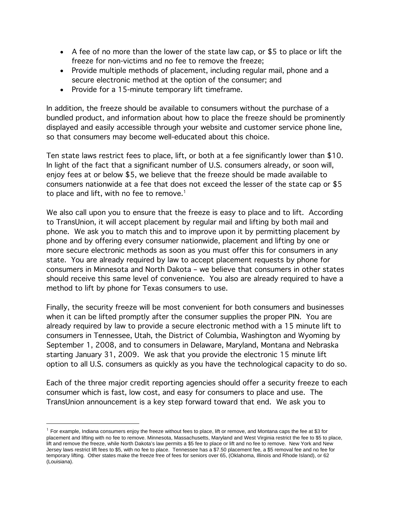- A fee of no more than the lower of the state law cap, or \$5 to place or lift the freeze for non-victims and no fee to remove the freeze;
- Provide multiple methods of placement, including regular mail, phone and a secure electronic method at the option of the consumer; and
- Provide for a 15-minute temporary lift timeframe.

In addition, the freeze should be available to consumers without the purchase of a bundled product, and information about how to place the freeze should be prominently displayed and easily accessible through your website and customer service phone line, so that consumers may become well-educated about this choice.

Ten state laws restrict fees to place, lift, or both at a fee significantly lower than \$10. In light of the fact that a significant number of U.S. consumers already, or soon will, enjoy fees at or below \$5, we believe that the freeze should be made available to consumers nationwide at a fee that does not exceed the lesser of the state cap or \$5 to place and lift, with no fee to remove.<sup>1</sup>

We also call upon you to ensure that the freeze is easy to place and to lift. According to TransUnion, it will accept placement by regular mail and lifting by both mail and phone. We ask you to match this and to improve upon it by permitting placement by phone and by offering every consumer nationwide, placement and lifting by one or more secure electronic methods as soon as you must offer this for consumers in any state. You are already required by law to accept placement requests by phone for consumers in Minnesota and North Dakota – we believe that consumers in other states should receive this same level of convenience. You also are already required to have a method to lift by phone for Texas consumers to use.

Finally, the security freeze will be most convenient for both consumers and businesses when it can be lifted promptly after the consumer supplies the proper PIN. You are already required by law to provide a secure electronic method with a 15 minute lift to consumers in Tennessee, Utah, the District of Columbia, Washington and Wyoming by September 1, 2008, and to consumers in Delaware, Maryland, Montana and Nebraska starting January 31, 2009. We ask that you provide the electronic 15 minute lift option to all U.S. consumers as quickly as you have the technological capacity to do so.

Each of the three major credit reporting agencies should offer a security freeze to each consumer which is fast, low cost, and easy for consumers to place and use. The TransUnion announcement is a key step forward toward that end. We ask you to

 $\overline{a}$ 

 $1$  For example, Indiana consumers enjoy the freeze without fees to place, lift or remove, and Montana caps the fee at \$3 for placement and lifting with no fee to remove. Minnesota, Massachusetts, Maryland and West Virginia restrict the fee to \$5 to place, lift and remove the freeze, while North Dakota's law permits a \$5 fee to place or lift and no fee to remove. New York and New Jersey laws restrict lift fees to \$5, with no fee to place. Tennessee has a \$7.50 placement fee, a \$5 removal fee and no fee for temporary lifting. Other states make the freeze free of fees for seniors over 65, (Oklahoma, Illinois and Rhode Island), or 62 (Louisiana).